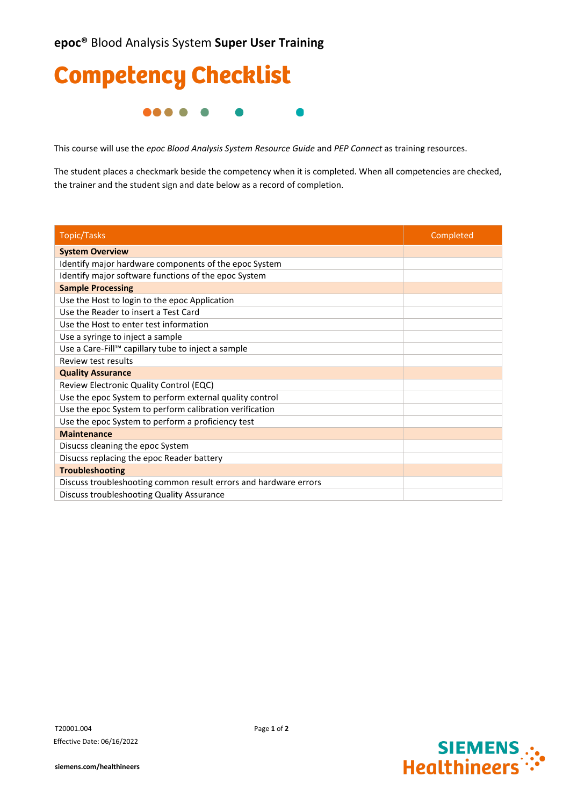## Competency Checklist **....**  $\blacksquare$

This course will use the *epoc Blood Analysis System Resource Guide* and *PEP Connect* as training resources.

The student places a checkmark beside the competency when it is completed. When all competencies are checked, the trainer and the student sign and date below as a record of completion.

| <b>Topic/Tasks</b>                                               | Completed |
|------------------------------------------------------------------|-----------|
| <b>System Overview</b>                                           |           |
| Identify major hardware components of the epoc System            |           |
| Identify major software functions of the epoc System             |           |
| <b>Sample Processing</b>                                         |           |
| Use the Host to login to the epoc Application                    |           |
| Use the Reader to insert a Test Card                             |           |
| Use the Host to enter test information                           |           |
| Use a syringe to inject a sample                                 |           |
| Use a Care-Fill™ capillary tube to inject a sample               |           |
| Review test results                                              |           |
| <b>Quality Assurance</b>                                         |           |
| Review Electronic Quality Control (EQC)                          |           |
| Use the epoc System to perform external quality control          |           |
| Use the epoc System to perform calibration verification          |           |
| Use the epoc System to perform a proficiency test                |           |
| <b>Maintenance</b>                                               |           |
| Disucss cleaning the epoc System                                 |           |
| Disucss replacing the epoc Reader battery                        |           |
| <b>Troubleshooting</b>                                           |           |
| Discuss troubleshooting common result errors and hardware errors |           |
| Discuss troubleshooting Quality Assurance                        |           |